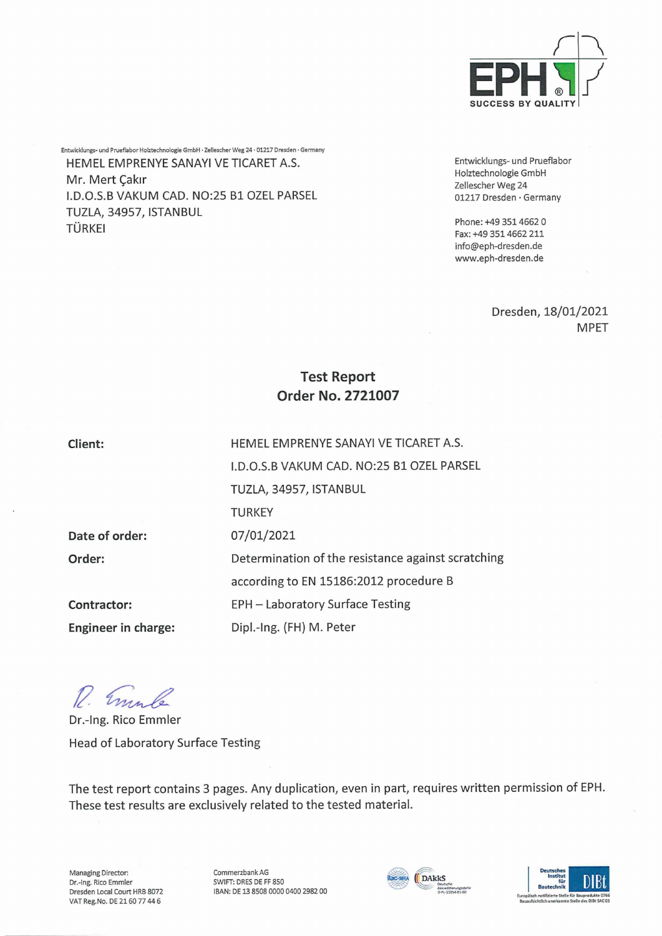

Entwicklungs- und Prueflabor Holztechnologie GmbH • Zellescher Weg 24 • 01217 Dresden • Germany HEMEL EMPRENYE SANAYI VE TICARET A.S. Mr. Mert Çakır I.D.O.S.B VAKUM CAD. NO:25 Bl OZEL PARSEL TUZLA, 34957, ISTANBUL TÜRKEI

Entwicklungs- und Prueflabor Hoiztechnologie GmbH Zellescher Weg 24 01217 Dresden • Germany

Phone: +49 351 4662 0 Fax: +49 3514662 211 [info@eph-dresden.de](mailto:info@eph-dresden.de) [www.eph-dresden.de](http://www.eph-dresden.de)

> Dresden, 18/01/2021 MPET

# **Test Report Order No. 2721007**

**Client:**

**Order:**

**Date of Order:**

**Contractor:**

HEMEL EMPRENYE SANAYI VE TICARET A.S. I.D.O.S.B VAKUM CAD. NO:25 Bl OZEL PARSEL TUZLA, 34957, ISTANBUL **TURKEY** 07/01/2021 Determination of the resistance against scratching according to EN 15186:2012 procedure B EPH - Laboratory Surface Testing Dipl.-Ing. (FH) M. Peter

*ft-*

**Engineer in Charge:**

Dr.-Ing. Rico Emmler Head of Laboratory Surface Testing

The test report contains 3 pages. Any duplication, even in part, requires written permission of EPH. These test results are exclusively related to the tested material.

Managing Director: Dr.-Ing. Rico Emmler Dresden Local Court HRB 8072 VAT Reg.No. DE 2160 77 44 6

Commerzbank AG SWIFT: DRES DE FF 850 IBAN: DE 13 8508 0000 0400 2982 00



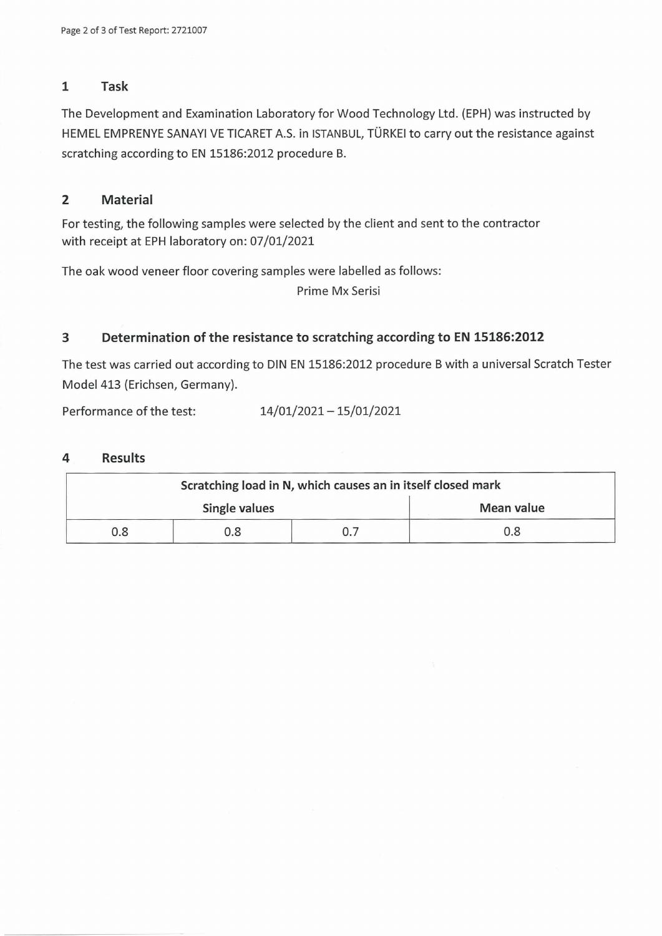## **1 Task**

The Development and Examination Laboratory for Wood Technology Ltd. (EPH) was instructed by HEMEL EMPRENYE SANAYI VE TICARET A.S. in ISTANBUL, TÜRKEI to carry out the resistance against scratching according to EN 15186:2012 procedure B.

## **2 Material**

For testing, the following samples were selected by the client and sent to the contractor with receipt at EPH laboratory on: 07/01/2021

The oak wood veneer floor covering samples were labelled as follows:

Prime Mx Serisi

## **3 Determination of the resistance to scratching according to EN 15186:2012**

The test was carried out according to DIN EN 15186:2012 procedure <sup>B</sup> with <sup>a</sup> universal Scratch Tester Model 413 (Erichsen, Germany).

Performance of the test: 14/01/2021 - 15/01/2021

#### **4 Results**

| Scratching load in N, which causes an in itself closed mark |     |  |            |  |  |
|-------------------------------------------------------------|-----|--|------------|--|--|
| Single values                                               |     |  | Mean value |  |  |
| 0.8                                                         | 0.8 |  | 0.8        |  |  |